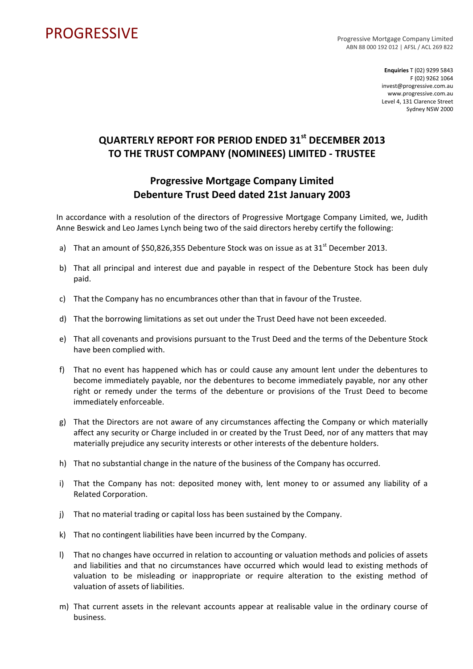## PROGRESSIVE PROGRESSIVE

ABN 88 000 192 012 | AFSL / ACL 269 822

**Enquiries** T (02) 9299 5843 F (02) 9262 1064 invest@progressive.com.au www.progressive.com.au Level 4, 131 Clarence Street Sydney NSW 2000

## **QUARTERLY REPORT FOR PERIOD ENDED 31st DECEMBER 2013 TO THE TRUST COMPANY (NOMINEES) LIMITED ‐ TRUSTEE**

## **Progressive Mortgage Company Limited Debenture Trust Deed dated 21st January 2003**

In accordance with a resolution of the directors of Progressive Mortgage Company Limited, we, Judith Anne Beswick and Leo James Lynch being two of the said directors hereby certify the following:

- a) That an amount of \$50,826,355 Debenture Stock was on issue as at  $31<sup>st</sup>$  December 2013.
- b) That all principal and interest due and payable in respect of the Debenture Stock has been duly paid.
- c) That the Company has no encumbrances other than that in favour of the Trustee.
- d) That the borrowing limitations as set out under the Trust Deed have not been exceeded.
- e) That all covenants and provisions pursuant to the Trust Deed and the terms of the Debenture Stock have been complied with.
- f) That no event has happened which has or could cause any amount lent under the debentures to become immediately payable, nor the debentures to become immediately payable, nor any other right or remedy under the terms of the debenture or provisions of the Trust Deed to become immediately enforceable.
- g) That the Directors are not aware of any circumstances affecting the Company or which materially affect any security or Charge included in or created by the Trust Deed, nor of any matters that may materially prejudice any security interests or other interests of the debenture holders.
- h) That no substantial change in the nature of the business of the Company has occurred.
- i) That the Company has not: deposited money with, lent money to or assumed any liability of a Related Corporation.
- j) That no material trading or capital loss has been sustained by the Company.
- k) That no contingent liabilities have been incurred by the Company.
- l) That no changes have occurred in relation to accounting or valuation methods and policies of assets and liabilities and that no circumstances have occurred which would lead to existing methods of valuation to be misleading or inappropriate or require alteration to the existing method of valuation of assets of liabilities.
- m) That current assets in the relevant accounts appear at realisable value in the ordinary course of business.